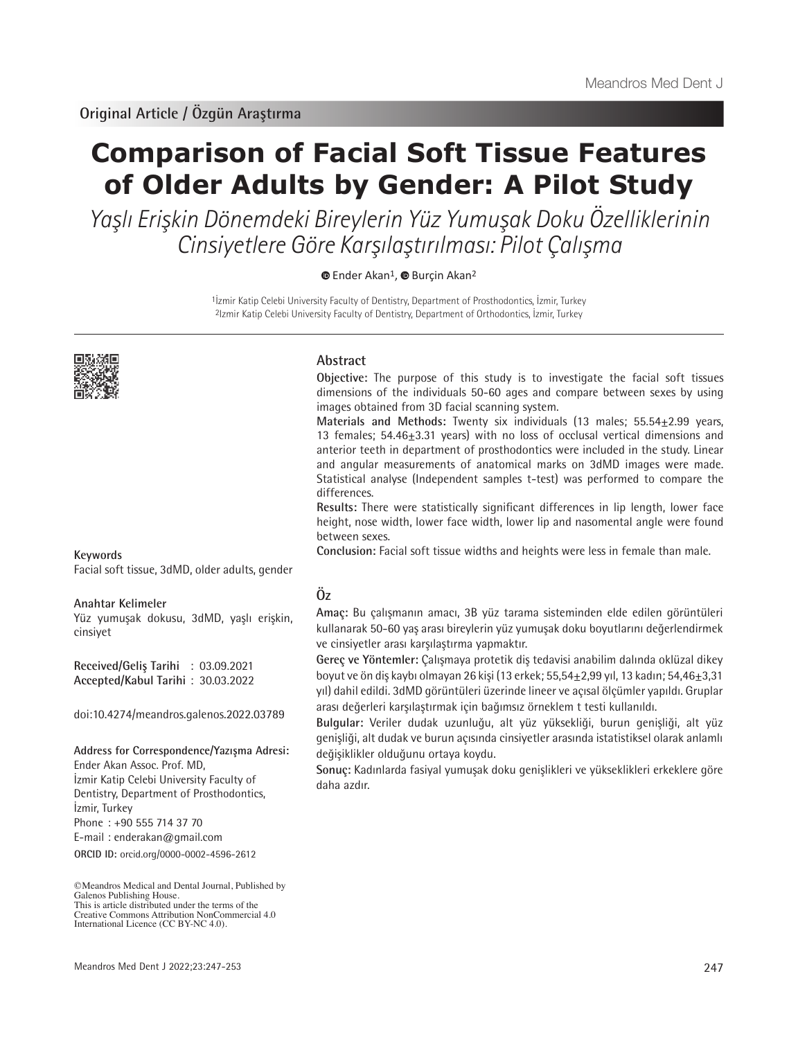# **Comparison of Facial Soft Tissue Features of Older Adults by Gender: A Pilot Study**

Yaşlı Erişkin Dönemdeki Bireylerin Yüz Yumuşak Doku Özelliklerinin Cinsiyetlere Göre Karşılaştırılması: Pilot Çalışma

<sup>■</sup> [E](https://orcid.org/0000-0002-4596-2612)nderAkan<sup>1</sup>, ■ Burcin Akan<sup>2</sup>

1İzmir Katip Celebi University Faculty of Dentistry, Department of Prosthodontics, İzmir, Turkey 2Izmir Katip Celebi University Faculty of Dentistry, Department of Orthodontics, İzmir, Turkey



**Abstract**

**Objective:** The purpose of this study is to investigate the facial soft tissues dimensions of the individuals 50-60 ages and compare between sexes by using images obtained from 3D facial scanning system.

**Materials and Methods:** Twenty six individuals (13 males; 55.54±2.99 years, 13 females; 54.46±3.31 years) with no loss of occlusal vertical dimensions and anterior teeth in department of prosthodontics were included in the study. Linear and angular measurements of anatomical marks on 3dMD images were made. Statistical analyse (Independent samples t-test) was performed to compare the differences.

**Results:** There were statistically significant differences in lip length, lower face height, nose width, lower face width, lower lip and nasomental angle were found between sexes.

**Conclusion:** Facial soft tissue widths and heights were less in female than male.

### **Keywords**

Facial soft tissue, 3dMD, older adults, gender

#### **Anahtar Kelimeler**

Yüz yumuşak dokusu, 3dMD, yaşlı erişkin, cinsiyet

**Received/Geliş Tarihi** : 03.09.2021 **Accepted/Kabul Tarihi** : 30.03.2022

doi:10.4274/meandros.galenos.2022.03789

**Address for Correspondence/Yazışma Adresi:**

**ORCID ID:** orcid.org/0000-0002-4596-2612 Ender Akan Assoc. Prof. MD, İzmir Katip Celebi University Faculty of Dentistry, Department of Prosthodontics, İzmir, Turkey Phone : +90 555 714 37 70 E-mail : enderakan@gmail.com

## **Öz**

**Amaç:** Bu çalışmanın amacı, 3B yüz tarama sisteminden elde edilen görüntüleri kullanarak 50-60 yaş arası bireylerin yüz yumuşak doku boyutlarını değerlendirmek ve cinsiyetler arası karşılaştırma yapmaktır.

**Gereç ve Yöntemler:** Çalışmaya protetik diş tedavisi anabilim dalında oklüzal dikey boyut ve ön diş kaybı olmayan 26 kişi (13 erkek; 55,54±2,99 yıl, 13 kadın; 54,46±3,31 yıl) dahil edildi. 3dMD görüntüleri üzerinde lineer ve açısal ölçümler yapıldı. Gruplar arası değerleri karşılaştırmak için bağımsız örneklem t testi kullanıldı.

**Bulgular:** Veriler dudak uzunluğu, alt yüz yüksekliği, burun genişliği, alt yüz genişliği, alt dudak ve burun açısında cinsiyetler arasında istatistiksel olarak anlamlı değişiklikler olduğunu ortaya koydu.

**Sonuç:** Kadınlarda fasiyal yumuşak doku genişlikleri ve yükseklikleri erkeklere göre daha azdır.

<sup>©</sup>Meandros Medical and Dental Journal, Published by Galenos Publishing House. This is article distributed under the terms of the Creative Commons Attribution NonCommercial 4.0 International Licence (CC BY-NC 4.0).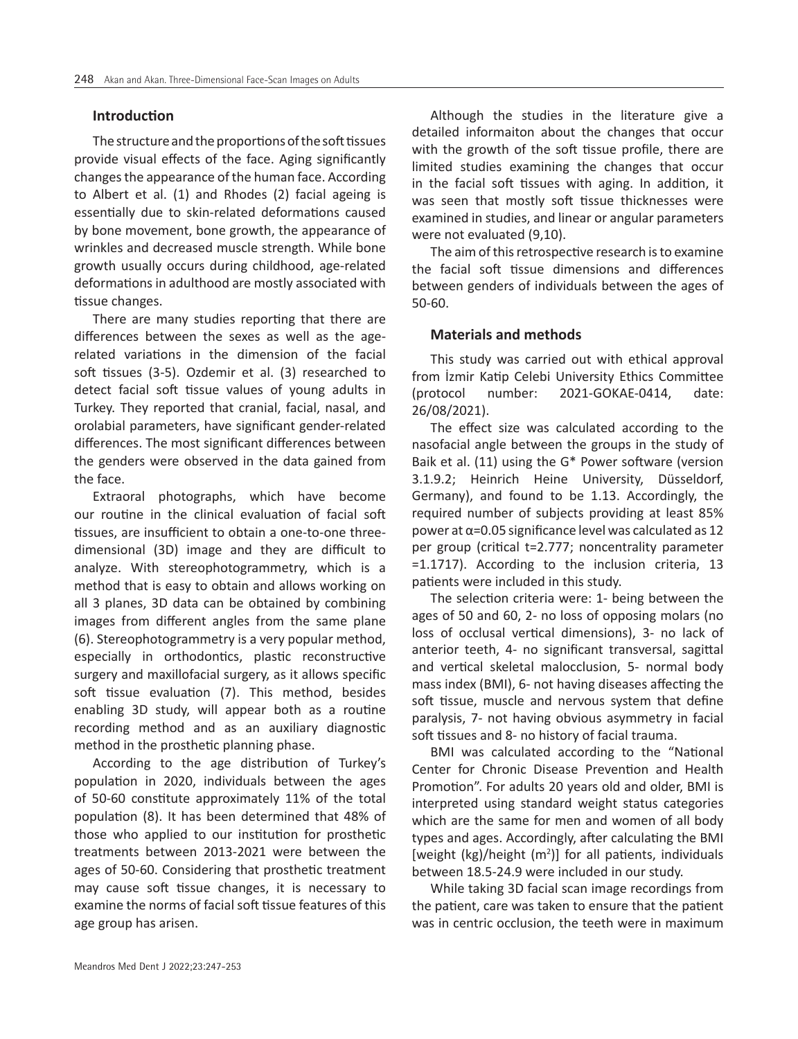#### **Introduction**

The structure and the proportions of the soft tissues provide visual effects of the face. Aging significantly changes the appearance of the human face. According to Albert et al. (1) and Rhodes (2) facial ageing is essentially due to skin-related deformations caused by bone movement, bone growth, the appearance of wrinkles and decreased muscle strength. While bone growth usually occurs during childhood, age-related deformations in adulthood are mostly associated with tissue changes.

There are many studies reporting that there are differences between the sexes as well as the agerelated variations in the dimension of the facial soft tissues (3-5). Ozdemir et al. (3) researched to detect facial soft tissue values of young adults in Turkey. They reported that cranial, facial, nasal, and orolabial parameters, have significant gender-related differences. The most significant differences between the genders were observed in the data gained from the face.

Extraoral photographs, which have become our routine in the clinical evaluation of facial soft tissues, are insufficient to obtain a one-to-one threedimensional (3D) image and they are difficult to analyze. With stereophotogrammetry, which is a method that is easy to obtain and allows working on all 3 planes, 3D data can be obtained by combining images from different angles from the same plane (6). Stereophotogrammetry is a very popular method, especially in orthodontics, plastic reconstructive surgery and maxillofacial surgery, as it allows specific soft tissue evaluation (7). This method, besides enabling 3D study, will appear both as a routine recording method and as an auxiliary diagnostic method in the prosthetic planning phase.

According to the age distribution of Turkey's population in 2020, individuals between the ages of 50-60 constitute approximately 11% of the total population (8). It has been determined that 48% of those who applied to our institution for prosthetic treatments between 2013-2021 were between the ages of 50-60. Considering that prosthetic treatment may cause soft tissue changes, it is necessary to examine the norms of facial soft tissue features of this age group has arisen.

Although the studies in the literature give a detailed informaiton about the changes that occur with the growth of the soft tissue profile, there are limited studies examining the changes that occur in the facial soft tissues with aging. In addition, it was seen that mostly soft tissue thicknesses were examined in studies, and linear or angular parameters were not evaluated (9,10).

The aim of this retrospective research is to examine the facial soft tissue dimensions and differences between genders of individuals between the ages of 50-60.

#### **Materials and methods**

This study was carried out with ethical approval from İzmir Katip Celebi University Ethics Committee (protocol number: 2021-GOKAE-0414, date: 26/08/2021).

The effect size was calculated according to the nasofacial angle between the groups in the study of Baik et al. (11) using the G\* Power software (version 3.1.9.2; Heinrich Heine University, Düsseldorf, Germany), and found to be 1.13. Accordingly, the required number of subjects providing at least 85% power at α=0.05 significance level was calculated as 12 per group (critical t=2.777; noncentrality parameter =1.1717). According to the inclusion criteria, 13 patients were included in this study.

The selection criteria were: 1- being between the ages of 50 and 60, 2- no loss of opposing molars (no loss of occlusal vertical dimensions), 3- no lack of anterior teeth, 4- no significant transversal, sagittal and vertical skeletal malocclusion, 5- normal body mass index (BMI), 6- not having diseases affecting the soft tissue, muscle and nervous system that define paralysis, 7- not having obvious asymmetry in facial soft tissues and 8- no history of facial trauma.

BMI was calculated according to the "National Center for Chronic Disease Prevention and Health Promotion". For adults 20 years old and older, BMI is interpreted using standard weight status categories which are the same for men and women of all body types and ages. Accordingly, after calculating the BMI [weight  $(kg)/$ height  $(m<sup>2</sup>)$ ] for all patients, individuals between 18.5-24.9 were included in our study.

While taking 3D facial scan image recordings from the patient, care was taken to ensure that the patient was in centric occlusion, the teeth were in maximum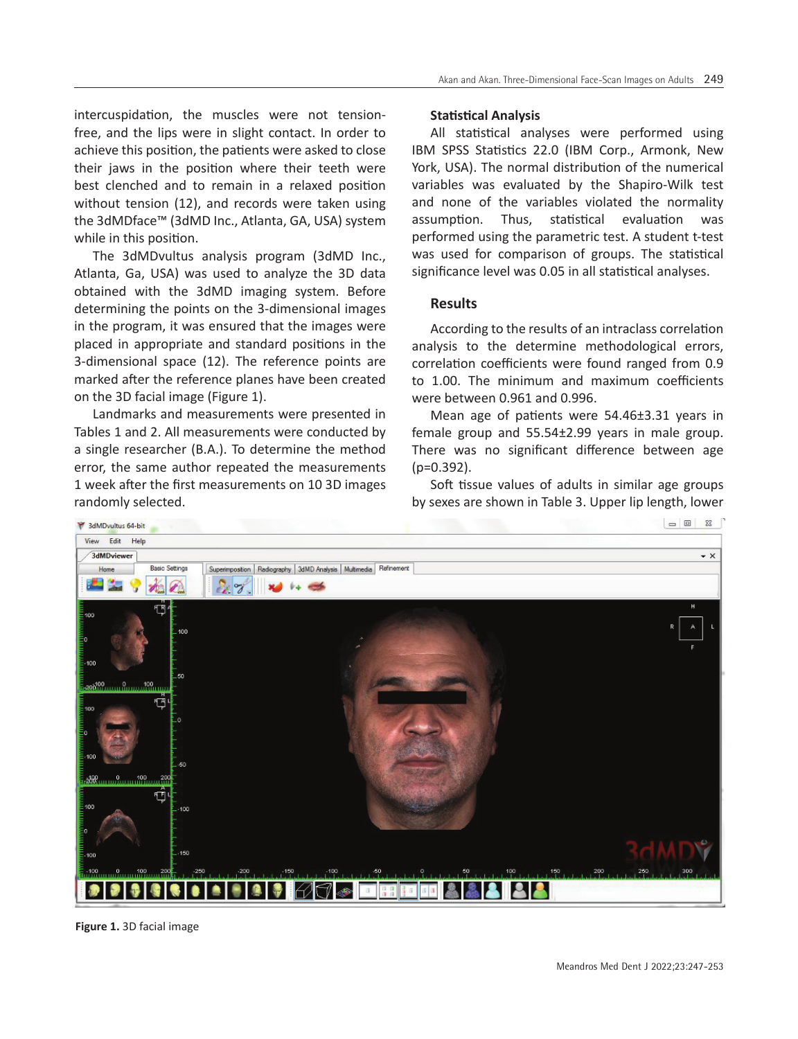intercuspidation, the muscles were not tensionfree, and the lips were in slight contact. In order to achieve this position, the patients were asked to close their jaws in the position where their teeth were best clenched and to remain in a relaxed position without tension (12), and records were taken using the 3dMDface™ (3dMD Inc., Atlanta, GA, USA) system while in this position.

The 3dMDvultus analysis program (3dMD Inc., Atlanta, Ga, USA) was used to analyze the 3D data obtained with the 3dMD imaging system. Before determining the points on the 3-dimensional images in the program, it was ensured that the images were placed in appropriate and standard positions in the 3-dimensional space (12). The reference points are marked after the reference planes have been created on the 3D facial image (Figure 1).

Landmarks and measurements were presented in Tables 1 and 2. All measurements were conducted by a single researcher (B.A.). To determine the method error, the same author repeated the measurements 1 week after the first measurements on 10 3D images randomly selected.

#### **Statistical Analysis**

All statistical analyses were performed using IBM SPSS Statistics 22.0 (IBM Corp., Armonk, New York, USA). The normal distribution of the numerical variables was evaluated by the Shapiro-Wilk test and none of the variables violated the normality assumption. Thus, statistical evaluation was performed using the parametric test. A student t-test was used for comparison of groups. The statistical significance level was 0.05 in all statistical analyses.

#### **Results**

According to the results of an intraclass correlation analysis to the determine methodological errors, correlation coefficients were found ranged from 0.9 to 1.00. The minimum and maximum coefficients were between 0.961 and 0.996.

Mean age of patients were 54.46±3.31 years in female group and 55.54±2.99 years in male group. There was no significant difference between age  $(p=0.392)$ .

Soft tissue values of adults in similar age groups by sexes are shown in Table 3. Upper lip length, lower



**Figure 1.** 3D facial image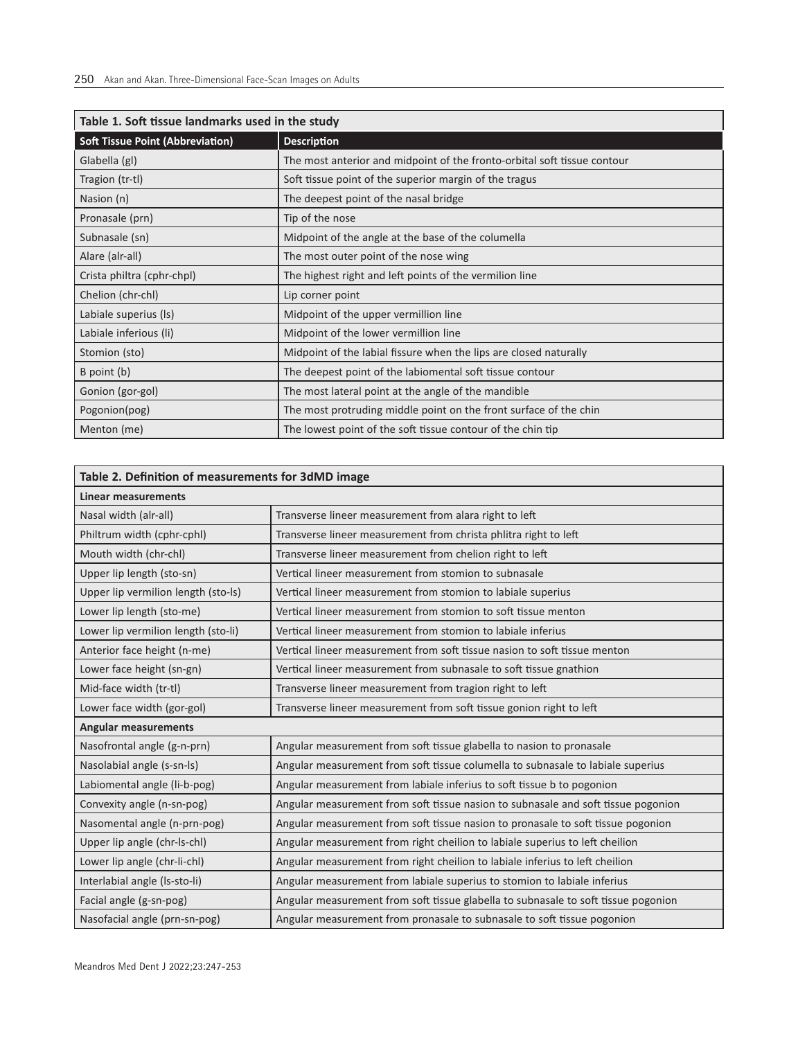| Table 1. Soft tissue landmarks used in the study |                                                                          |  |  |  |  |
|--------------------------------------------------|--------------------------------------------------------------------------|--|--|--|--|
| <b>Soft Tissue Point (Abbreviation)</b>          | <b>Description</b>                                                       |  |  |  |  |
| Glabella (gl)                                    | The most anterior and midpoint of the fronto-orbital soft tissue contour |  |  |  |  |
| Tragion (tr-tl)                                  | Soft tissue point of the superior margin of the tragus                   |  |  |  |  |
| Nasion (n)                                       | The deepest point of the nasal bridge                                    |  |  |  |  |
| Pronasale (prn)                                  | Tip of the nose                                                          |  |  |  |  |
| Subnasale (sn)                                   | Midpoint of the angle at the base of the columella                       |  |  |  |  |
| Alare (alr-all)                                  | The most outer point of the nose wing                                    |  |  |  |  |
| Crista philtra (cphr-chpl)                       | The highest right and left points of the vermilion line                  |  |  |  |  |
| Chelion (chr-chl)                                | Lip corner point                                                         |  |  |  |  |
| Labiale superius (Is)                            | Midpoint of the upper vermillion line                                    |  |  |  |  |
| Labiale inferious (li)                           | Midpoint of the lower vermillion line                                    |  |  |  |  |
| Stomion (sto)                                    | Midpoint of the labial fissure when the lips are closed naturally        |  |  |  |  |
| B point (b)                                      | The deepest point of the labiomental soft tissue contour                 |  |  |  |  |
| Gonion (gor-gol)                                 | The most lateral point at the angle of the mandible                      |  |  |  |  |
| Pogonion(pog)                                    | The most protruding middle point on the front surface of the chin        |  |  |  |  |
| Menton (me)                                      | The lowest point of the soft tissue contour of the chin tip              |  |  |  |  |

| Table 2. Definition of measurements for 3dMD image |                                                                                    |  |  |  |  |
|----------------------------------------------------|------------------------------------------------------------------------------------|--|--|--|--|
| <b>Linear measurements</b>                         |                                                                                    |  |  |  |  |
| Nasal width (alr-all)                              | Transverse lineer measurement from alara right to left                             |  |  |  |  |
| Philtrum width (cphr-cphl)                         | Transverse lineer measurement from christa phlitra right to left                   |  |  |  |  |
| Mouth width (chr-chl)                              | Transverse lineer measurement from chelion right to left                           |  |  |  |  |
| Upper lip length (sto-sn)                          | Vertical lineer measurement from stomion to subnasale                              |  |  |  |  |
| Upper lip vermilion length (sto-ls)                | Vertical lineer measurement from stomion to labiale superius                       |  |  |  |  |
| Lower lip length (sto-me)                          | Vertical lineer measurement from stomion to soft tissue menton                     |  |  |  |  |
| Lower lip vermilion length (sto-li)                | Vertical lineer measurement from stomion to labiale inferius                       |  |  |  |  |
| Anterior face height (n-me)                        | Vertical lineer measurement from soft tissue nasion to soft tissue menton          |  |  |  |  |
| Lower face height (sn-gn)                          | Vertical lineer measurement from subnasale to soft tissue gnathion                 |  |  |  |  |
| Mid-face width (tr-tl)                             | Transverse lineer measurement from tragion right to left                           |  |  |  |  |
| Lower face width (gor-gol)                         | Transverse lineer measurement from soft tissue gonion right to left                |  |  |  |  |
| <b>Angular measurements</b>                        |                                                                                    |  |  |  |  |
| Nasofrontal angle (g-n-prn)                        | Angular measurement from soft tissue glabella to nasion to pronasale               |  |  |  |  |
| Nasolabial angle (s-sn-ls)                         | Angular measurement from soft tissue columella to subnasale to labiale superius    |  |  |  |  |
| Labiomental angle (li-b-pog)                       | Angular measurement from labiale inferius to soft tissue b to pogonion             |  |  |  |  |
| Convexity angle (n-sn-pog)                         | Angular measurement from soft tissue nasion to subnasale and soft tissue pogonion  |  |  |  |  |
| Nasomental angle (n-prn-pog)                       | Angular measurement from soft tissue nasion to pronasale to soft tissue pogonion   |  |  |  |  |
| Upper lip angle (chr-ls-chl)                       | Angular measurement from right cheilion to labiale superius to left cheilion       |  |  |  |  |
| Lower lip angle (chr-li-chl)                       | Angular measurement from right cheilion to labiale inferius to left cheilion       |  |  |  |  |
| Interlabial angle (Is-sto-li)                      | Angular measurement from labiale superius to stomion to labiale inferius           |  |  |  |  |
| Facial angle (g-sn-pog)                            | Angular measurement from soft tissue glabella to subnasale to soft tissue pogonion |  |  |  |  |
| Nasofacial angle (prn-sn-pog)                      | Angular measurement from pronasale to subnasale to soft tissue pogonion            |  |  |  |  |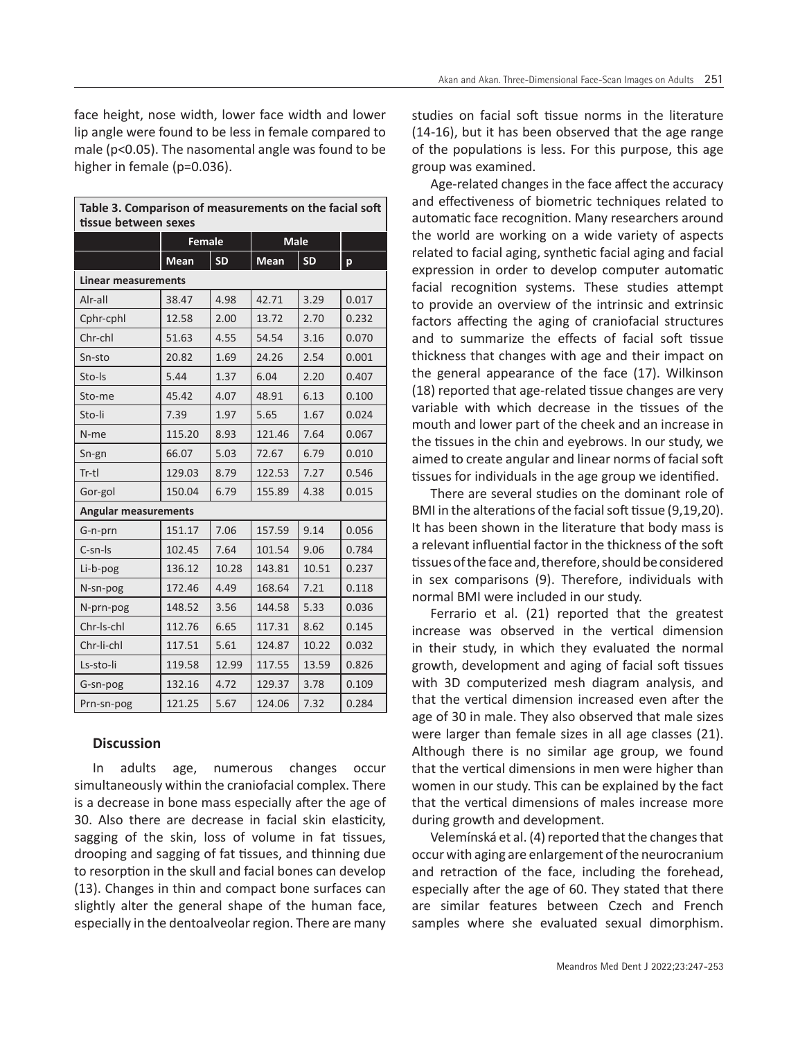face height, nose width, lower face width and lower lip angle were found to be less in female compared to male (p<0.05). The nasomental angle was found to be higher in female (p=0.036).

| Table 3. Comparison of measurements on the facial soft<br>tissue between sexes |                             |           |             |           |       |  |  |  |  |
|--------------------------------------------------------------------------------|-----------------------------|-----------|-------------|-----------|-------|--|--|--|--|
|                                                                                | <b>Female</b>               |           | <b>Male</b> |           |       |  |  |  |  |
|                                                                                | <b>Mean</b>                 | <b>SD</b> | <b>Mean</b> | <b>SD</b> | p     |  |  |  |  |
| <b>Linear measurements</b>                                                     |                             |           |             |           |       |  |  |  |  |
| Alr-all                                                                        | 38.47                       | 4.98      | 42.71       | 3.29      | 0.017 |  |  |  |  |
| Cphr-cphl                                                                      | 12.58                       | 2.00      | 13.72       | 2.70      | 0.232 |  |  |  |  |
| Chr-chl                                                                        | 51.63                       | 4.55      | 54.54       | 3.16      | 0.070 |  |  |  |  |
| Sn-sto                                                                         | 20.82                       | 1.69      | 24.26       | 2.54      | 0.001 |  |  |  |  |
| Sto-Is                                                                         | 5.44                        | 1.37      | 6.04        | 2.20      | 0.407 |  |  |  |  |
| Sto-me                                                                         | 45.42                       | 4.07      | 48.91       | 6.13      | 0.100 |  |  |  |  |
| Sto-li                                                                         | 7.39                        | 1.97      | 5.65        | 1.67      | 0.024 |  |  |  |  |
| N-me                                                                           | 115.20                      | 8.93      | 121.46      | 7.64      | 0.067 |  |  |  |  |
| Sn-gn                                                                          | 66.07                       | 5.03      | 72.67       | 6.79      | 0.010 |  |  |  |  |
| Tr-tl                                                                          | 129.03                      | 8.79      | 122.53      | 7.27      | 0.546 |  |  |  |  |
| Gor-gol                                                                        | 150.04                      | 6.79      | 155.89      | 4.38      | 0.015 |  |  |  |  |
|                                                                                | <b>Angular measurements</b> |           |             |           |       |  |  |  |  |
| G-n-prn                                                                        | 151.17                      | 7.06      | 157.59      | 9.14      | 0.056 |  |  |  |  |
| $C$ -sn- $Is$                                                                  | 102.45                      | 7.64      | 101.54      | 9.06      | 0.784 |  |  |  |  |
| Li-b-pog                                                                       | 136.12                      | 10.28     | 143.81      | 10.51     | 0.237 |  |  |  |  |
| N-sn-pog                                                                       | 172.46                      | 4.49      | 168.64      | 7.21      | 0.118 |  |  |  |  |
| N-prn-pog                                                                      | 148.52                      | 3.56      | 144.58      | 5.33      | 0.036 |  |  |  |  |
| Chr-Is-chl                                                                     | 112.76                      | 6.65      | 117.31      | 8.62      | 0.145 |  |  |  |  |
| Chr-li-chl                                                                     | 117.51                      | 5.61      | 124.87      | 10.22     | 0.032 |  |  |  |  |
| Ls-sto-li                                                                      | 119.58                      | 12.99     | 117.55      | 13.59     | 0.826 |  |  |  |  |
| G-sn-pog                                                                       | 132.16                      | 4.72      | 129.37      | 3.78      | 0.109 |  |  |  |  |
| Prn-sn-pog                                                                     | 121.25                      | 5.67      | 124.06      | 7.32      | 0.284 |  |  |  |  |

#### **Discussion**

In adults age, numerous changes occur simultaneously within the craniofacial complex. There is a decrease in bone mass especially after the age of 30. Also there are decrease in facial skin elasticity, sagging of the skin, loss of volume in fat tissues, drooping and sagging of fat tissues, and thinning due to resorption in the skull and facial bones can develop (13). Changes in thin and compact bone surfaces can slightly alter the general shape of the human face, especially in the dentoalveolar region. There are many studies on facial soft tissue norms in the literature (14-16), but it has been observed that the age range of the populations is less. For this purpose, this age group was examined.

Age-related changes in the face affect the accuracy and effectiveness of biometric techniques related to automatic face recognition. Many researchers around the world are working on a wide variety of aspects related to facial aging, synthetic facial aging and facial expression in order to develop computer automatic facial recognition systems. These studies attempt to provide an overview of the intrinsic and extrinsic factors affecting the aging of craniofacial structures and to summarize the effects of facial soft tissue thickness that changes with age and their impact on the general appearance of the face (17). Wilkinson (18) reported that age-related tissue changes are very variable with which decrease in the tissues of the mouth and lower part of the cheek and an increase in the tissues in the chin and eyebrows. In our study, we aimed to create angular and linear norms of facial soft tissues for individuals in the age group we identified.

There are several studies on the dominant role of BMI in the alterations of the facial soft tissue (9,19,20). It has been shown in the literature that body mass is a relevant influential factor in the thickness of the soft tissues of the face and, therefore, should be considered in sex comparisons (9). Therefore, individuals with normal BMI were included in our study.

Ferrario et al. (21) reported that the greatest increase was observed in the vertical dimension in their study, in which they evaluated the normal growth, development and aging of facial soft tissues with 3D computerized mesh diagram analysis, and that the vertical dimension increased even after the age of 30 in male. They also observed that male sizes were larger than female sizes in all age classes (21). Although there is no similar age group, we found that the vertical dimensions in men were higher than women in our study. This can be explained by the fact that the vertical dimensions of males increase more during growth and development.

Velemínská et al. (4) reported that the changes that occur with aging are enlargement of the neurocranium and retraction of the face, including the forehead, especially after the age of 60. They stated that there are similar features between Czech and French samples where she evaluated sexual dimorphism.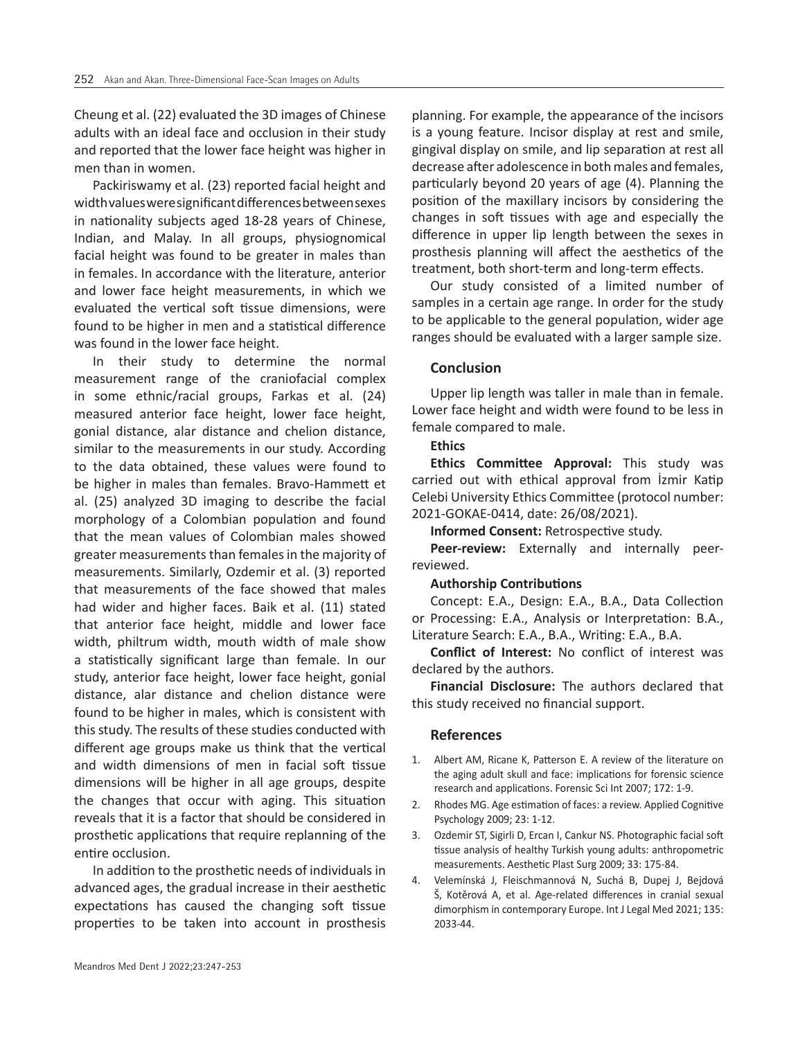Cheung et al. (22) evaluated the 3D images of Chinese adults with an ideal face and occlusion in their study and reported that the lower face height was higher in men than in women.

Packiriswamy et al. (23) reported facial height and width values were significant differences between sexes in nationality subjects aged 18‑28 years of Chinese, Indian, and Malay. In all groups, physiognomical facial height was found to be greater in males than in females. In accordance with the literature, anterior and lower face height measurements, in which we evaluated the vertical soft tissue dimensions, were found to be higher in men and a statistical difference was found in the lower face height.

In their study to determine the normal measurement range of the craniofacial complex in some ethnic/racial groups, Farkas et al. (24) measured anterior face height, lower face height, gonial distance, alar distance and chelion distance, similar to the measurements in our study. According to the data obtained, these values were found to be higher in males than females. Bravo-Hammett et al. (25) analyzed 3D imaging to describe the facial morphology of a Colombian population and found that the mean values of Colombian males showed greater measurements than females in the majority of measurements. Similarly, Ozdemir et al. (3) reported that measurements of the face showed that males had wider and higher faces. Baik et al. (11) stated that anterior face height, middle and lower face width, philtrum width, mouth width of male show a statistically significant large than female. In our study, anterior face height, lower face height, gonial distance, alar distance and chelion distance were found to be higher in males, which is consistent with this study. The results of these studies conducted with different age groups make us think that the vertical and width dimensions of men in facial soft tissue dimensions will be higher in all age groups, despite the changes that occur with aging. This situation reveals that it is a factor that should be considered in prosthetic applications that require replanning of the entire occlusion.

In addition to the prosthetic needs of individuals in advanced ages, the gradual increase in their aesthetic expectations has caused the changing soft tissue properties to be taken into account in prosthesis planning. For example, the appearance of the incisors is a young feature. Incisor display at rest and smile, gingival display on smile, and lip separation at rest all decrease after adolescence in both males and females, particularly beyond 20 years of age (4). Planning the position of the maxillary incisors by considering the changes in soft tissues with age and especially the difference in upper lip length between the sexes in prosthesis planning will affect the aesthetics of the treatment, both short-term and long-term effects.

Our study consisted of a limited number of samples in a certain age range. In order for the study to be applicable to the general population, wider age ranges should be evaluated with a larger sample size.

### **Conclusion**

Upper lip length was taller in male than in female. Lower face height and width were found to be less in female compared to male.

#### **Ethics**

**Ethics Committee Approval:** This study was carried out with ethical approval from İzmir Katip Celebi University Ethics Committee (protocol number: 2021-GOKAE-0414, date: 26/08/2021).

**Informed Consent:** Retrospective study.

**Peer-review:** Externally and internally peerreviewed.

#### **Authorship Contributions**

Concept: E.A., Design: E.A., B.A., Data Collection or Processing: E.A., Analysis or Interpretation: B.A., Literature Search: E.A., B.A., Writing: E.A., B.A.

**Conflict of Interest:** No conflict of interest was declared by the authors.

**Financial Disclosure:** The authors declared that this study received no financial support.

#### **References**

- 1. Albert AM, Ricane K, Patterson E. A review of the literature on the aging adult skull and face: implications for forensic science research and applications. Forensic Sci Int 2007; 172: 1-9.
- 2. Rhodes MG. Age estimation of faces: a review. Applied Cognitive Psychology 2009; 23: 1-12.
- 3. Ozdemir ST, Sigirli D, Ercan I, Cankur NS. Photographic facial soft tissue analysis of healthy Turkish young adults: anthropometric measurements. Aesthetic Plast Surg 2009; 33: 175-84.
- 4. Velemínská J, Fleischmannová N, Suchá B, Dupej J, Bejdová Š, Kotěrová A, et al. Age-related differences in cranial sexual dimorphism in contemporary Europe. Int J Legal Med 2021; 135: 2033-44.